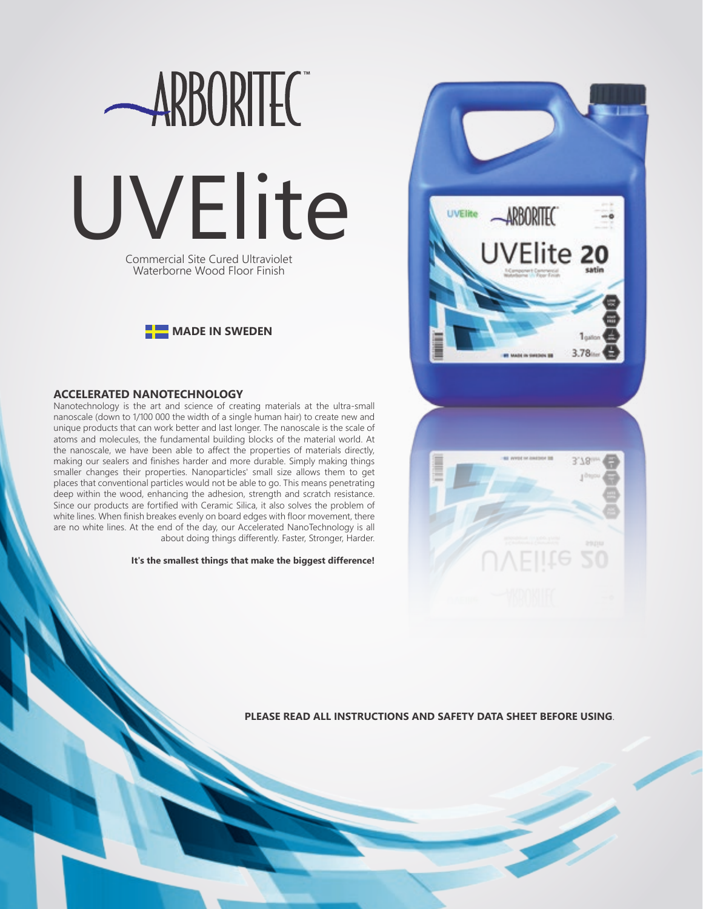



# **ACCELERATED NANOTECHNOLOGY**

Nanotechnology is the art and science of creating materials at the ultra-small nanoscale (down to 1/100 000 the width of a single human hair) to create new and unique products that can work better and last longer. The nanoscale is the scale of atoms and molecules, the fundamental building blocks of the material world. At the nanoscale, we have been able to affect the properties of materials directly, making our sealers and finishes harder and more durable. Simply making things smaller changes their properties. Nanoparticles' small size allows them to get places that conventional particles would not be able to go. This means penetrating deep within the wood, enhancing the adhesion, strength and scratch resistance. Since our products are fortified with Ceramic Silica, it also solves the problem of white lines. When finish breakes evenly on board edges with floor movement, there are no white lines. At the end of the day, our Accelerated NanoTechnology is all about doing things differently. Faster, Stronger, Harder.

**It's the smallest things that make the biggest difference!**





**PLEASE READ ALL INSTRUCTIONS AND SAFETY DATA SHEET BEFORE USING**.